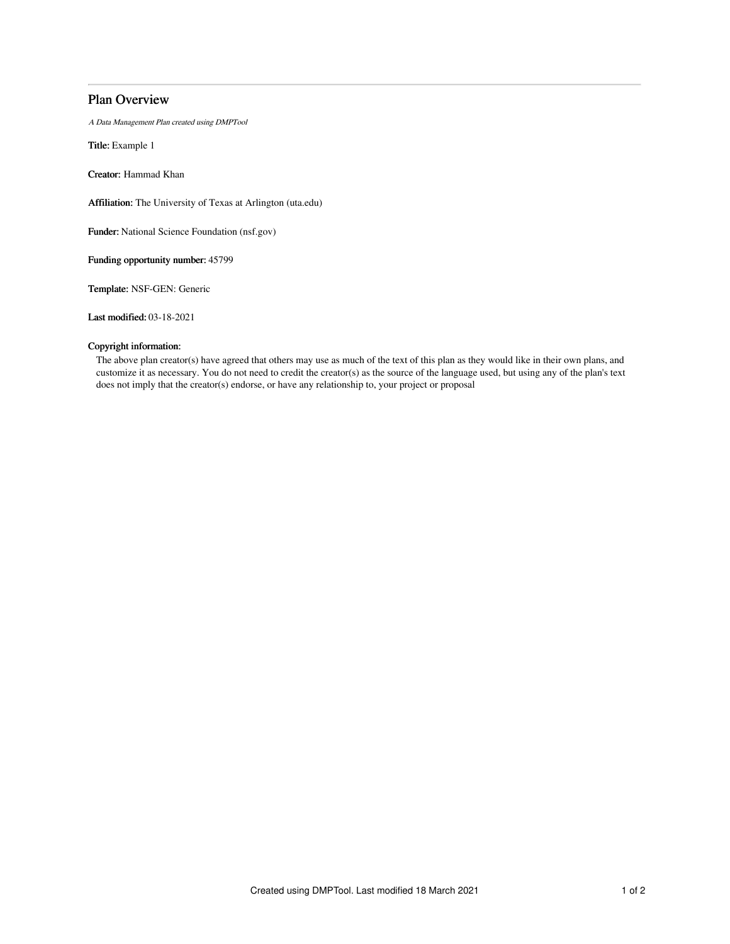# Plan Overview

A Data Management Plan created using DMPTool

Title: Example 1

Creator: Hammad Khan

Affiliation: The University of Texas at Arlington (uta.edu)

Funder: National Science Foundation (nsf.gov)

Funding opportunity number: 45799

Template: NSF-GEN: Generic

Last modified: 03-18-2021

# Copyright information:

The above plan creator(s) have agreed that others may use as much of the text of this plan as they would like in their own plans, and customize it as necessary. You do not need to credit the creator(s) as the source of the language used, but using any of the plan's text does not imply that the creator(s) endorse, or have any relationship to, your project or proposal